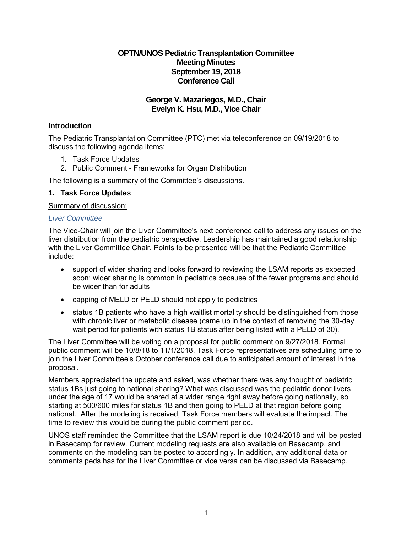# **OPTN/UNOS Pediatric Transplantation Committee Meeting Minutes September 19, 2018 Conference Call**

## **George V. Mazariegos, M.D., Chair Evelyn K. Hsu, M.D., Vice Chair**

# **Introduction**

The Pediatric Transplantation Committee (PTC) met via teleconference on 09/19/2018 to discuss the following agenda items:

- 1. Task Force Updates
- 2. Public Comment Frameworks for Organ Distribution

The following is a summary of the Committee's discussions.

## **1. Task Force Updates**

Summary of discussion:

### *Liver Committee*

The Vice-Chair will join the Liver Committee's next conference call to address any issues on the liver distribution from the pediatric perspective. Leadership has maintained a good relationship with the Liver Committee Chair. Points to be presented will be that the Pediatric Committee include:

- support of wider sharing and looks forward to reviewing the LSAM reports as expected soon; wider sharing is common in pediatrics because of the fewer programs and should be wider than for adults
- capping of MELD or PELD should not apply to pediatrics
- status 1B patients who have a high waitlist mortality should be distinguished from those with chronic liver or metabolic disease (came up in the context of removing the 30-day wait period for patients with status 1B status after being listed with a PELD of 30).

The Liver Committee will be voting on a proposal for public comment on 9/27/2018. Formal public comment will be 10/8/18 to 11/1/2018. Task Force representatives are scheduling time to join the Liver Committee's October conference call due to anticipated amount of interest in the proposal.

Members appreciated the update and asked, was whether there was any thought of pediatric status 1Bs just going to national sharing? What was discussed was the pediatric donor livers under the age of 17 would be shared at a wider range right away before going nationally, so starting at 500/600 miles for status 1B and then going to PELD at that region before going national. After the modeling is received, Task Force members will evaluate the impact. The time to review this would be during the public comment period.

UNOS staff reminded the Committee that the LSAM report is due 10/24/2018 and will be posted in Basecamp for review. Current modeling requests are also available on Basecamp, and comments on the modeling can be posted to accordingly. In addition, any additional data or comments peds has for the Liver Committee or vice versa can be discussed via Basecamp.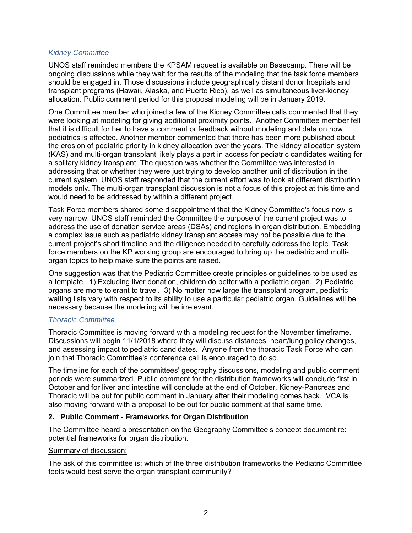### *Kidney Committee*

UNOS staff reminded members the KPSAM request is available on Basecamp. There will be ongoing discussions while they wait for the results of the modeling that the task force members should be engaged in. Those discussions include geographically distant donor hospitals and transplant programs (Hawaii, Alaska, and Puerto Rico), as well as simultaneous liver-kidney allocation. Public comment period for this proposal modeling will be in January 2019.

One Committee member who joined a few of the Kidney Committee calls commented that they were looking at modeling for giving additional proximity points. Another Committee member felt that it is difficult for her to have a comment or feedback without modeling and data on how pediatrics is affected. Another member commented that there has been more published about the erosion of pediatric priority in kidney allocation over the years. The kidney allocation system (KAS) and multi-organ transplant likely plays a part in access for pediatric candidates waiting for a solitary kidney transplant. The question was whether the Committee was interested in addressing that or whether they were just trying to develop another unit of distribution in the current system. UNOS staff responded that the current effort was to look at different distribution models only. The multi-organ transplant discussion is not a focus of this project at this time and would need to be addressed by within a different project.

Task Force members shared some disappointment that the Kidney Committee's focus now is very narrow. UNOS staff reminded the Committee the purpose of the current project was to address the use of donation service areas (DSAs) and regions in organ distribution. Embedding a complex issue such as pediatric kidney transplant access may not be possible due to the current project's short timeline and the diligence needed to carefully address the topic. Task force members on the KP working group are encouraged to bring up the pediatric and multiorgan topics to help make sure the points are raised.

One suggestion was that the Pediatric Committee create principles or guidelines to be used as a template. 1) Excluding liver donation, children do better with a pediatric organ. 2) Pediatric organs are more tolerant to travel. 3) No matter how large the transplant program, pediatric waiting lists vary with respect to its ability to use a particular pediatric organ. Guidelines will be necessary because the modeling will be irrelevant.

## *Thoracic Committee*

Thoracic Committee is moving forward with a modeling request for the November timeframe. Discussions will begin 11/1/2018 where they will discuss distances, heart/lung policy changes, and assessing impact to pediatric candidates. Anyone from the thoracic Task Force who can join that Thoracic Committee's conference call is encouraged to do so.

The timeline for each of the committees' geography discussions, modeling and public comment periods were summarized. Public comment for the distribution frameworks will conclude first in October and for liver and intestine will conclude at the end of October. Kidney-Pancreas and Thoracic will be out for public comment in January after their modeling comes back. VCA is also moving forward with a proposal to be out for public comment at that same time.

## **2. Public Comment - Frameworks for Organ Distribution**

The Committee heard a presentation on the Geography Committee's concept document re: potential frameworks for organ distribution.

#### Summary of discussion:

The ask of this committee is: which of the three distribution frameworks the Pediatric Committee feels would best serve the organ transplant community?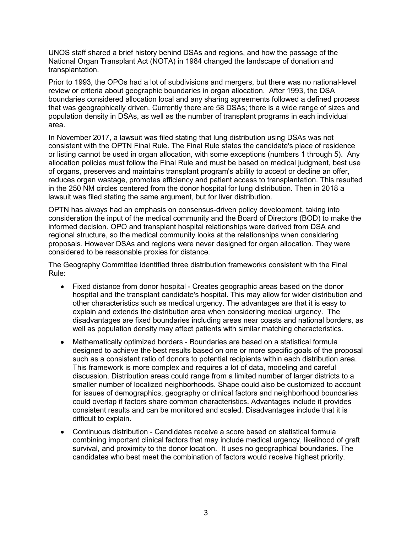UNOS staff shared a brief history behind DSAs and regions, and how the passage of the National Organ Transplant Act (NOTA) in 1984 changed the landscape of donation and transplantation.

Prior to 1993, the OPOs had a lot of subdivisions and mergers, but there was no national-level review or criteria about geographic boundaries in organ allocation. After 1993, the DSA boundaries considered allocation local and any sharing agreements followed a defined process that was geographically driven. Currently there are 58 DSAs; there is a wide range of sizes and population density in DSAs, as well as the number of transplant programs in each individual area.

In November 2017, a lawsuit was filed stating that lung distribution using DSAs was not consistent with the OPTN Final Rule. The Final Rule states the candidate's place of residence or listing cannot be used in organ allocation, with some exceptions (numbers 1 through 5). Any allocation policies must follow the Final Rule and must be based on medical judgment, best use of organs, preserves and maintains transplant program's ability to accept or decline an offer, reduces organ wastage, promotes efficiency and patient access to transplantation. This resulted in the 250 NM circles centered from the donor hospital for lung distribution. Then in 2018 a lawsuit was filed stating the same argument, but for liver distribution.

OPTN has always had an emphasis on consensus-driven policy development, taking into consideration the input of the medical community and the Board of Directors (BOD) to make the informed decision. OPO and transplant hospital relationships were derived from DSA and regional structure, so the medical community looks at the relationships when considering proposals. However DSAs and regions were never designed for organ allocation. They were considered to be reasonable proxies for distance.

The Geography Committee identified three distribution frameworks consistent with the Final Rule:

- Fixed distance from donor hospital Creates geographic areas based on the donor hospital and the transplant candidate's hospital. This may allow for wider distribution and other characteristics such as medical urgency. The advantages are that it is easy to explain and extends the distribution area when considering medical urgency. The disadvantages are fixed boundaries including areas near coasts and national borders, as well as population density may affect patients with similar matching characteristics.
- Mathematically optimized borders Boundaries are based on a statistical formula designed to achieve the best results based on one or more specific goals of the proposal such as a consistent ratio of donors to potential recipients within each distribution area. This framework is more complex and requires a lot of data, modeling and careful discussion. Distribution areas could range from a limited number of larger districts to a smaller number of localized neighborhoods. Shape could also be customized to account for issues of demographics, geography or clinical factors and neighborhood boundaries could overlap if factors share common characteristics. Advantages include it provides consistent results and can be monitored and scaled. Disadvantages include that it is difficult to explain.
- Continuous distribution Candidates receive a score based on statistical formula combining important clinical factors that may include medical urgency, likelihood of graft survival, and proximity to the donor location. It uses no geographical boundaries. The candidates who best meet the combination of factors would receive highest priority.